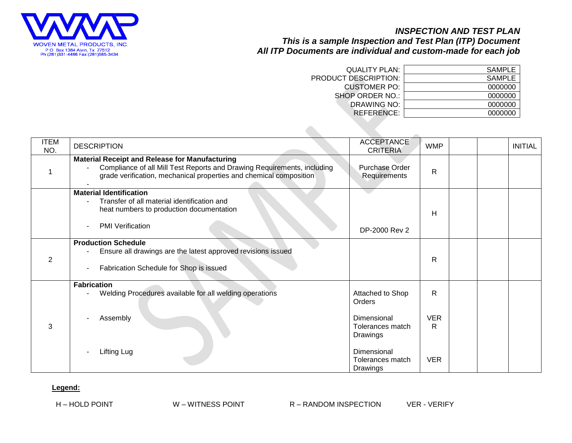

## *INSPECTION AND TEST PLAN This is a sample Inspection and Test Plan (ITP) Document All ITP Documents are individual and custom-made for each job*

| <b>QUALITY PLAN:</b>   | SAMPLE  |
|------------------------|---------|
| PRODUCT DESCRIPTION:   | SAMPLE  |
| <b>CUSTOMER PO:</b>    | 0000000 |
| <b>SHOP ORDER NO.:</b> | 0000000 |
| DRAWING NO:            | 0000000 |
| REFERENCE:             | 0000000 |

| <b>ITEM</b><br>NO. | <b>DESCRIPTION</b>                                                                                                                                                                                     | <b>ACCEPTANCE</b><br><b>CRITERIA</b>                                                                                     | <b>WMP</b>                         |  | <b>INITIAL</b> |
|--------------------|--------------------------------------------------------------------------------------------------------------------------------------------------------------------------------------------------------|--------------------------------------------------------------------------------------------------------------------------|------------------------------------|--|----------------|
|                    | <b>Material Receipt and Release for Manufacturing</b><br>Compliance of all Mill Test Reports and Drawing Requirements, including<br>grade verification, mechanical properties and chemical composition | Purchase Order<br>Requirements                                                                                           | R                                  |  |                |
|                    | <b>Material Identification</b><br>Transfer of all material identification and<br>٠<br>heat numbers to production documentation<br><b>PMI</b> Verification                                              | DP-2000 Rev 2                                                                                                            | H                                  |  |                |
| 2                  | <b>Production Schedule</b><br>Ensure all drawings are the latest approved revisions issued<br>Fabrication Schedule for Shop is issued                                                                  |                                                                                                                          | $\mathsf{R}$                       |  |                |
| 3                  | <b>Fabrication</b><br>Welding Procedures available for all welding operations<br>Assembly<br>Lifting Lug                                                                                               | Attached to Shop<br>Orders<br>Dimensional<br>Tolerances match<br>Drawings<br>Dimensional<br>Tolerances match<br>Drawings | R<br><b>VER</b><br>R<br><b>VER</b> |  |                |

## **Legend:**